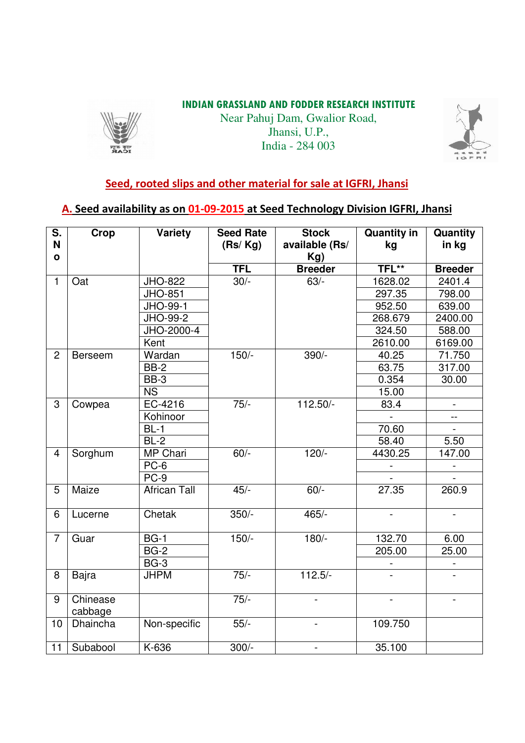#### **INDIAN GRASSLAND AND FODDER RESEARCH INSTITUTE**



Near Pahuj Dam, Gwalior Road, Jhansi, U.P., India - 284 003



# **Seed, rooted slips and other material for sale at IGFRI, Jhansi**

# **A. Seed availability as on 01-09-2015 at Seed Technology Division IGFRI, Jhansi**

| S.<br>N<br>$\mathbf{o}$ | <b>Crop</b>         | Variety             | <b>Seed Rate</b><br>(Rs/Kg) | <b>Stock</b><br>available (Rs/<br>Kg) | <b>Quantity in</b><br>kg | Quantity<br>in kg |
|-------------------------|---------------------|---------------------|-----------------------------|---------------------------------------|--------------------------|-------------------|
|                         |                     |                     | <b>TFL</b>                  | <b>Breeder</b>                        | TFL**                    | <b>Breeder</b>    |
| $\mathbf{1}$            | Oat                 | <b>JHO-822</b>      | $30/-$                      | $63/-$                                | 1628.02                  | 2401.4            |
|                         |                     | <b>JHO-851</b>      |                             |                                       | 297.35                   | 798.00            |
|                         |                     | JHO-99-1            |                             |                                       | 952.50                   | 639.00            |
|                         |                     | JHO-99-2            |                             |                                       | 268.679                  | 2400.00           |
|                         |                     | JHO-2000-4          |                             |                                       | 324.50                   | 588.00            |
|                         |                     | Kent                |                             |                                       | 2610.00                  | 6169.00           |
| $\overline{2}$          | <b>Berseem</b>      | Wardan              | $150/-$                     | 390/-                                 | 40.25                    | 71.750            |
|                         |                     | <b>BB-2</b>         |                             |                                       | 63.75                    | 317.00            |
|                         |                     | BB-3                |                             |                                       | 0.354                    | 30.00             |
|                         |                     | <b>NS</b>           |                             |                                       | 15.00                    |                   |
| 3                       | Cowpea              | EC-4216             | $75/-$                      | 112.50/-                              | 83.4                     |                   |
|                         |                     | Kohinoor            |                             |                                       |                          | $\overline{a}$    |
|                         |                     | $BL-1$              |                             |                                       | 70.60                    |                   |
|                         |                     | $BL-2$              |                             |                                       | 58.40                    | 5.50              |
| $\overline{\mathbf{4}}$ | Sorghum             | MP Chari            | $60/-$                      | $120/-$                               | 4430.25                  | 147.00            |
|                         |                     | PC-6                |                             |                                       |                          |                   |
|                         |                     | PC-9                |                             |                                       |                          |                   |
| 5                       | Maize               | <b>African Tall</b> | $45/-$                      | $60/-$                                | 27.35                    | 260.9             |
| 6                       | Lucerne             | Chetak              | $350/-$                     | $465/-$                               |                          |                   |
| $\overline{7}$          | Guar                | <b>BG-1</b>         | $150/-$                     | $180/-$                               | 132.70                   | 6.00              |
|                         |                     | <b>BG-2</b>         |                             |                                       | 205.00                   | 25.00             |
|                         |                     | $BG-3$              |                             |                                       |                          |                   |
| 8                       | Bajra               | <b>JHPM</b>         | $75/-$                      | $112.5/-$                             |                          |                   |
| 9                       | Chinease<br>cabbage |                     | $75/-$                      |                                       |                          |                   |
| 10                      | Dhaincha            | Non-specific        | $55/-$                      |                                       | 109.750                  |                   |
| 11                      | Subabool            | K-636               | $300/-$                     | -                                     | 35.100                   |                   |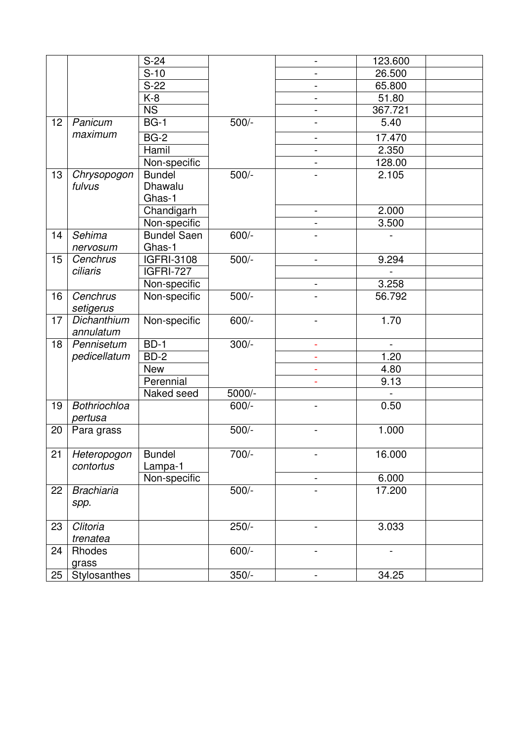|    |                     | $S-24$                 |         | $\blacksquare$               | 123.600 |  |
|----|---------------------|------------------------|---------|------------------------------|---------|--|
|    |                     | $S-10$                 |         |                              | 26.500  |  |
|    |                     | $S-22$                 |         | $\overline{\phantom{0}}$     | 65.800  |  |
|    |                     | K-8                    |         | $\overline{\phantom{a}}$     | 51.80   |  |
|    |                     | $\overline{\text{NS}}$ |         |                              | 367.721 |  |
| 12 | Panicum             | <b>BG-1</b>            | $500/-$ | $\overline{\phantom{a}}$     | 5.40    |  |
|    | maximum             | $BG-2$                 |         | -                            | 17.470  |  |
|    |                     | Hamil                  |         | $\qquad \qquad \blacksquare$ | 2.350   |  |
|    |                     | Non-specific           |         |                              | 128.00  |  |
| 13 | Chrysopogon         | <b>Bundel</b>          | $500/-$ |                              | 2.105   |  |
|    | fulvus              | Dhawalu                |         |                              |         |  |
|    |                     | Ghas-1                 |         |                              |         |  |
|    |                     | Chandigarh             |         | $\overline{\phantom{a}}$     | 2.000   |  |
|    |                     | Non-specific           |         |                              | 3.500   |  |
| 14 | Sehima              | <b>Bundel Saen</b>     | $600/-$ | $\overline{\phantom{m}}$     |         |  |
|    | nervosum            | Ghas-1                 |         |                              |         |  |
| 15 | Cenchrus            | <b>IGFRI-3108</b>      | $500/-$ | $\overline{\phantom{a}}$     | 9.294   |  |
|    | ciliaris            | IGFRI-727              |         |                              |         |  |
|    |                     | Non-specific           |         |                              | 3.258   |  |
| 16 | Cenchrus            | Non-specific           | $500/-$ |                              | 56.792  |  |
|    | setigerus           |                        |         |                              |         |  |
| 17 | Dichanthium         | Non-specific           | $600/-$ | $\blacksquare$               | 1.70    |  |
|    | annulatum           |                        |         |                              |         |  |
| 18 | Pennisetum          | $BD-1$                 | $300/-$ | $\blacksquare$               |         |  |
|    | pedicellatum        | BD-2                   |         | ÷                            | 1.20    |  |
|    |                     | New                    |         | ٠                            | 4.80    |  |
|    |                     | Perennial              |         | ä,                           | 9.13    |  |
|    |                     | Naked seed             | 5000/-  |                              |         |  |
| 19 | <b>Bothriochloa</b> |                        | $600/-$ |                              | 0.50    |  |
|    | pertusa             |                        |         |                              |         |  |
| 20 | Para grass          |                        | $500/-$ |                              | 1.000   |  |
|    |                     |                        |         |                              |         |  |
| 21 | Heteropogon         | <b>Bundel</b>          | 700/-   |                              | 16.000  |  |
|    | contortus           | Lampa-1                |         |                              |         |  |
|    |                     | Non-specific           |         | ۰                            | 6.000   |  |
| 22 | <b>Brachiaria</b>   |                        | $500/-$ |                              | 17.200  |  |
|    | spp.                |                        |         |                              |         |  |
|    |                     |                        |         |                              |         |  |
| 23 | Clitoria            |                        | $250/-$ | $\overline{\phantom{a}}$     | 3.033   |  |
|    | trenatea            |                        |         |                              |         |  |
| 24 | Rhodes              |                        | $600/-$ |                              |         |  |
|    | grass               |                        |         |                              |         |  |
| 25 | Stylosanthes        |                        | $350/-$ | $\overline{\phantom{0}}$     | 34.25   |  |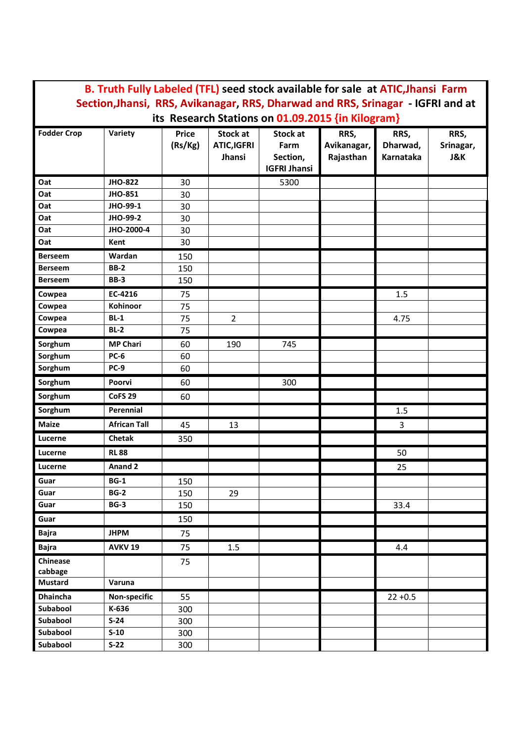| B. Truth Fully Labeled (TFL) seed stock available for sale at ATIC, Jhansi Farm                                                                                   |                                  |                               |                                     |  |  |  |  |
|-------------------------------------------------------------------------------------------------------------------------------------------------------------------|----------------------------------|-------------------------------|-------------------------------------|--|--|--|--|
| Section, Jhansi, RRS, Avikanagar, RRS, Dharwad and RRS, Srinagar - IGFRI and at<br>its Research Stations on 01.09.2015 {in Kilogram}                              |                                  |                               |                                     |  |  |  |  |
| <b>Fodder Crop</b><br>Variety<br><b>Price</b><br><b>Stock at</b><br>Stock at<br>(Rs/Kg)<br><b>ATIC,IGFRI</b><br>Farm<br>Jhansi<br>Section,<br><b>IGFRI Jhansi</b> | RRS,<br>Avikanagar,<br>Rajasthan | RRS,<br>Dharwad,<br>Karnataka | RRS,<br>Srinagar,<br><b>J&amp;K</b> |  |  |  |  |
| Oat<br><b>JHO-822</b><br>30<br>5300                                                                                                                               |                                  |                               |                                     |  |  |  |  |
| <b>JHO-851</b><br>Oat<br>30                                                                                                                                       |                                  |                               |                                     |  |  |  |  |
| JHO-99-1<br>Oat<br>30                                                                                                                                             |                                  |                               |                                     |  |  |  |  |
| JHO-99-2<br>Oat<br>30                                                                                                                                             |                                  |                               |                                     |  |  |  |  |
| JHO-2000-4<br>Oat<br>30                                                                                                                                           |                                  |                               |                                     |  |  |  |  |
| Oat<br>Kent<br>30                                                                                                                                                 |                                  |                               |                                     |  |  |  |  |
| Wardan<br><b>Berseem</b><br>150                                                                                                                                   |                                  |                               |                                     |  |  |  |  |
| <b>BB-2</b><br><b>Berseem</b><br>150                                                                                                                              |                                  |                               |                                     |  |  |  |  |
| <b>BB-3</b><br>150<br><b>Berseem</b>                                                                                                                              |                                  |                               |                                     |  |  |  |  |
| EC-4216<br>Cowpea<br>75                                                                                                                                           |                                  | 1.5                           |                                     |  |  |  |  |
| Kohinoor<br>Cowpea<br>75                                                                                                                                          |                                  |                               |                                     |  |  |  |  |
| $BL-1$<br>75<br>$\overline{2}$<br>Cowpea                                                                                                                          |                                  | 4.75                          |                                     |  |  |  |  |
| $BL-2$<br>75<br>Cowpea                                                                                                                                            |                                  |                               |                                     |  |  |  |  |
| Sorghum<br><b>MP Chari</b><br>60<br>745<br>190                                                                                                                    |                                  |                               |                                     |  |  |  |  |
| <b>PC-6</b><br>Sorghum<br>60                                                                                                                                      |                                  |                               |                                     |  |  |  |  |
| Sorghum<br><b>PC-9</b><br>60                                                                                                                                      |                                  |                               |                                     |  |  |  |  |
| Sorghum<br>Poorvi<br>300<br>60                                                                                                                                    |                                  |                               |                                     |  |  |  |  |
| Sorghum<br><b>CoFS 29</b><br>60                                                                                                                                   |                                  |                               |                                     |  |  |  |  |
| Sorghum<br>Perennial                                                                                                                                              |                                  | 1.5                           |                                     |  |  |  |  |
| <b>African Tall</b><br><b>Maize</b><br>45<br>13                                                                                                                   |                                  | 3                             |                                     |  |  |  |  |
| <b>Chetak</b><br>Lucerne<br>350                                                                                                                                   |                                  |                               |                                     |  |  |  |  |
| <b>RL88</b><br>Lucerne                                                                                                                                            |                                  | 50                            |                                     |  |  |  |  |
| <b>Anand 2</b><br>Lucerne                                                                                                                                         |                                  | 25                            |                                     |  |  |  |  |
| <b>BG-1</b><br>Guar<br>150                                                                                                                                        |                                  |                               |                                     |  |  |  |  |
| <b>BG-2</b><br>Guar<br>150<br>29                                                                                                                                  |                                  |                               |                                     |  |  |  |  |
| <b>BG-3</b><br>Guar<br>150                                                                                                                                        |                                  | 33.4                          |                                     |  |  |  |  |
| Guar<br>150                                                                                                                                                       |                                  |                               |                                     |  |  |  |  |
| <b>JHPM</b><br>75<br><b>Bajra</b>                                                                                                                                 |                                  |                               |                                     |  |  |  |  |
| <b>AVKV 19</b><br><b>Bajra</b><br>$1.5\,$<br>75                                                                                                                   |                                  | 4.4                           |                                     |  |  |  |  |
| Chinease<br>75                                                                                                                                                    |                                  |                               |                                     |  |  |  |  |
| cabbage<br><b>Mustard</b><br>Varuna                                                                                                                               |                                  |                               |                                     |  |  |  |  |
| Non-specific<br>Dhaincha<br>55                                                                                                                                    |                                  | $22 + 0.5$                    |                                     |  |  |  |  |
| K-636<br>Subabool<br>300                                                                                                                                          |                                  |                               |                                     |  |  |  |  |
| $S-24$<br>Subabool<br>300                                                                                                                                         |                                  |                               |                                     |  |  |  |  |
| Subabool<br>$S-10$<br>300                                                                                                                                         |                                  |                               |                                     |  |  |  |  |
| Subabool<br>$S-22$<br>300                                                                                                                                         |                                  |                               |                                     |  |  |  |  |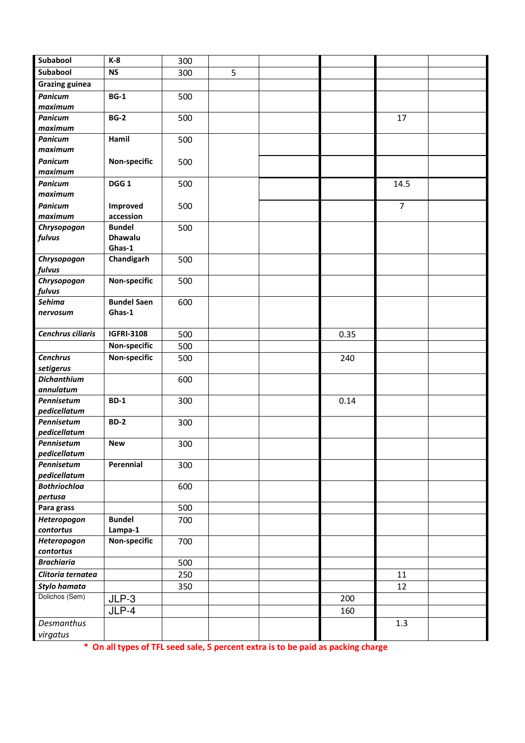| Subabool                   | $K-8$              | 300 |   |      |                |  |
|----------------------------|--------------------|-----|---|------|----------------|--|
| Subabool                   | <b>NS</b>          | 300 | 5 |      |                |  |
| <b>Grazing guinea</b>      |                    |     |   |      |                |  |
| <b>Panicum</b>             | $BG-1$             | 500 |   |      |                |  |
| maximum<br><b>Panicum</b>  | <b>BG-2</b>        |     |   |      |                |  |
| maximum                    |                    | 500 |   |      | 17             |  |
| <b>Panicum</b>             | Hamil              | 500 |   |      |                |  |
| maximum                    |                    |     |   |      |                |  |
| <b>Panicum</b>             | Non-specific       | 500 |   |      |                |  |
| maximum                    |                    |     |   |      |                |  |
| <b>Panicum</b>             | DGG <sub>1</sub>   | 500 |   |      | 14.5           |  |
| maximum                    |                    |     |   |      |                |  |
| <b>Panicum</b>             | Improved           | 500 |   |      | $\overline{7}$ |  |
| maximum                    | accession          |     |   |      |                |  |
| Chrysopogon                | <b>Bundel</b>      | 500 |   |      |                |  |
| fulvus                     | <b>Dhawalu</b>     |     |   |      |                |  |
|                            | Ghas-1             |     |   |      |                |  |
| Chrysopogon                | Chandigarh         | 500 |   |      |                |  |
| fulvus                     |                    |     |   |      |                |  |
| Chrysopogon<br>fulvus      | Non-specific       | 500 |   |      |                |  |
| Sehima                     | <b>Bundel Saen</b> | 600 |   |      |                |  |
| nervosum                   | Ghas-1             |     |   |      |                |  |
|                            |                    |     |   |      |                |  |
| Cenchrus ciliaris          | <b>IGFRI-3108</b>  | 500 |   | 0.35 |                |  |
|                            | Non-specific       | 500 |   |      |                |  |
| <b>Cenchrus</b>            | Non-specific       | 500 |   | 240  |                |  |
| setigerus                  |                    |     |   |      |                |  |
| <b>Dichanthium</b>         |                    | 600 |   |      |                |  |
| annulatum                  |                    |     |   |      |                |  |
| Pennisetum                 | <b>BD-1</b>        | 300 |   | 0.14 |                |  |
| pedicellatum               |                    |     |   |      |                |  |
| Pennisetum                 | <b>BD-2</b>        | 300 |   |      |                |  |
| pedicellatum<br>Pennisetum |                    |     |   |      |                |  |
| pedicellatum               | <b>New</b>         | 300 |   |      |                |  |
| Pennisetum                 | Perennial          | 300 |   |      |                |  |
| pedicellatum               |                    |     |   |      |                |  |
| <b>Bothriochloa</b>        |                    | 600 |   |      |                |  |
| pertusa                    |                    |     |   |      |                |  |
| Para grass                 |                    | 500 |   |      |                |  |
| Heteropogon                | <b>Bundel</b>      | 700 |   |      |                |  |
| contortus                  | Lampa-1            |     |   |      |                |  |
| Heteropogon                | Non-specific       | 700 |   |      |                |  |
| contortus                  |                    |     |   |      |                |  |
| <b>Brachiaria</b>          |                    | 500 |   |      |                |  |
| Clitoria ternatea          |                    | 250 |   |      | 11             |  |
| Stylo hamata               |                    | 350 |   |      | 12             |  |
| Dolichos (Sem)             | $JLP-3$            |     |   | 200  |                |  |
|                            | JLP-4              |     |   | 160  |                |  |
| Desmanthus                 |                    |     |   |      | 1.3            |  |
| virgatus                   |                    |     |   |      |                |  |

 **\* On all types of TFL seed sale, 5 percent extra is to be paid as packing charge**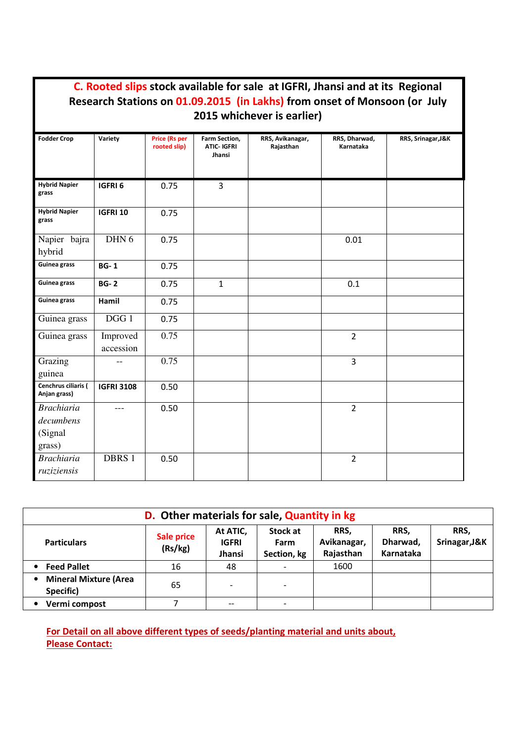|                                                     |                       |                                      |                                               | C. Rooted slips stock available for sale at IGFRI, Jhansi and at its Regional<br>Research Stations on 01.09.2015 (in Lakhs) from onset of Monsoon (or July<br>2015 whichever is earlier) |                            |                    |
|-----------------------------------------------------|-----------------------|--------------------------------------|-----------------------------------------------|------------------------------------------------------------------------------------------------------------------------------------------------------------------------------------------|----------------------------|--------------------|
| <b>Fodder Crop</b>                                  | Variety               | <b>Price (Rs per</b><br>rooted slip) | Farm Section,<br><b>ATIC- IGFRI</b><br>Jhansi | RRS, Avikanagar,<br>Rajasthan                                                                                                                                                            | RRS, Dharwad,<br>Karnataka | RRS, Srinagar, J&K |
| <b>Hybrid Napier</b><br>grass                       | IGFRI <sub>6</sub>    | 0.75                                 | 3                                             |                                                                                                                                                                                          |                            |                    |
| <b>Hybrid Napier</b><br>grass                       | <b>IGFRI 10</b>       | 0.75                                 |                                               |                                                                                                                                                                                          |                            |                    |
| Napier bajra<br>hybrid                              | DHN <sub>6</sub>      | 0.75                                 |                                               |                                                                                                                                                                                          | 0.01                       |                    |
| Guinea grass                                        | <b>BG-1</b>           | 0.75                                 |                                               |                                                                                                                                                                                          |                            |                    |
| Guinea grass                                        | <b>BG-2</b>           | 0.75                                 | $\mathbf{1}$                                  |                                                                                                                                                                                          | 0.1                        |                    |
| Guinea grass                                        | Hamil                 | 0.75                                 |                                               |                                                                                                                                                                                          |                            |                    |
| Guinea grass                                        | DGG 1                 | 0.75                                 |                                               |                                                                                                                                                                                          |                            |                    |
| Guinea grass                                        | Improved<br>accession | 0.75                                 |                                               |                                                                                                                                                                                          | $\overline{2}$             |                    |
| Grazing<br>guinea                                   |                       | 0.75                                 |                                               |                                                                                                                                                                                          | 3                          |                    |
| Cenchrus ciliaris (<br>Anjan grass)                 | <b>IGFRI 3108</b>     | 0.50                                 |                                               |                                                                                                                                                                                          |                            |                    |
| <b>Brachiaria</b><br>decumbens<br>(Signal<br>grass) | $---$                 | 0.50                                 |                                               |                                                                                                                                                                                          | $\overline{2}$             |                    |
| <b>Brachiaria</b><br>ruziziensis                    | DBRS 1                | 0.50                                 |                                               |                                                                                                                                                                                          | $\overline{2}$             |                    |

Г

i.

| D. Other materials for sale, Quantity in kg |                       |                                    |                                 |                                  |                               |                       |  |
|---------------------------------------------|-----------------------|------------------------------------|---------------------------------|----------------------------------|-------------------------------|-----------------------|--|
| <b>Particulars</b>                          | Sale price<br>(Rs/kg) | At ATIC,<br><b>IGFRI</b><br>Jhansi | Stock at<br>Farm<br>Section, kg | RRS,<br>Avikanagar,<br>Rajasthan | RRS.<br>Dharwad,<br>Karnataka | RRS,<br>Srinagar, J&K |  |
| <b>Feed Pallet</b>                          | 16                    | 48                                 |                                 | 1600                             |                               |                       |  |
| <b>Mineral Mixture (Area</b><br>Specific)   | 65                    |                                    | $\overline{\phantom{0}}$        |                                  |                               |                       |  |
| Vermi compost                               |                       | --                                 | $\overline{\phantom{0}}$        |                                  |                               |                       |  |

## **For Detail on all above different types of seeds/planting material and units about, Please Contact:**